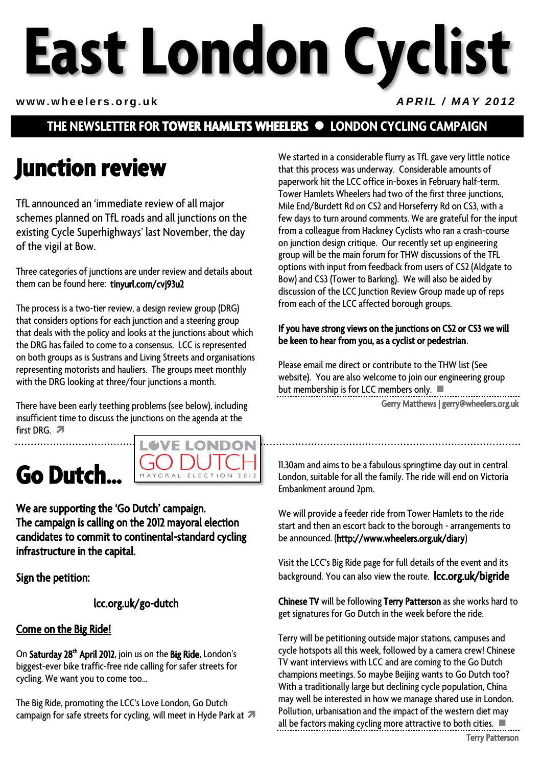# **East London Cyclist**

#### www.wheelers.org.uk *APRIL / MAY 2012*

### **THE NEWSLETTER FOR TOWER HAMLETS WHEELERS LONDON CYCLING CAMPAIGN**

### **Junction review**

TfL announced an 'immediate review of all major schemes planned on TfL roads and all junctions on the existing Cycle Superhighways' last November, the day of the vigil at Bow.

Three categories of junctions are under review and details about them can be found here: [tinyurl.com/cvj93u2](http://tinyurl.com/cvj93u2)

The process is a two-tier review, a design review group (DRG) that considers options for each junction and a steering group that deals with the policy and looks at the junctions about which the DRG has failed to come to a consensus. LCC is represented on both groups as is Sustrans and Living Streets and organisations representing motorists and hauliers. The groups meet monthly with the DRG looking at three/four junctions a month.

There have been early teething problems (see below), including insufficient time to discuss the junctions on the agenda at the first DRG. 7

### **Go Dutch…**



We are supporting the 'Go Dutch' campaign. The campaign is calling on the 2012 mayoral election candidates to commit to continental-standard cycling infrastructure in the capital.

Sign the petition:

[lcc.org.uk/go-dutch](http://lcc.org.uk/go-dutch) 

#### Come on the Big Ride!

On S<mark>aturday 28<sup>th</sup> April 2012</mark>, join us on the **Big Ride**, London's biggest-ever bike traffic-free ride calling for safer streets for cycling. We want you to come too...

The Big Ride, promoting the LCC's Love London, Go Dutch campaign for safe streets for cycling, will meet in Hyde Park at  $\blacksquare$  We started in a considerable flurry as TfL gave very little notice that this process was underway. Considerable amounts of paperwork hit the LCC office in-boxes in February half-term. Tower Hamlets Wheelers had two of the first three junctions, Mile End/Burdett Rd on CS2 and Horseferry Rd on CS3, with a few days to turn around comments. We are grateful for the input from a colleague from Hackney Cyclists who ran a crash-course on junction design critique. Our recently set up engineering group will be the main forum for THW discussions of the TFL options with input from feedback from users of CS2 (Aldgate to Bow) and CS3 (Tower to Barking). We will also be aided by discussion of the LCC Junction Review Group made up of reps from each of the LCC affected borough groups.

#### If you have strong views on the junctions on CS2 or CS3 we will be keen to hear from you, as a cyclist or pedestrian.

Please email me direct or contribute to the THW list (See website). You are also welcome to join our engineering group but membership is for LCC members only.

Gerry Matthews | gerry@wheelers.org.uk

11.30am and aims to be a fabulous springtime day out in central London, suitable for all the family. The ride will end on Victoria Embankment around 2pm.

We will provide a feeder ride from Tower Hamlets to the ride start and then an escort back to the borough - arrangements to be announced. [\(http://www.wheelers.org.uk/diary\)](http://www.wheelers.org.uk/diary)

Visit the LCC's Big Ride page for full details of the event and its background. You can also view the route. **Icc.org.uk/bigride** 

Chinese TV will be following Terry Patterson as she works hard to get signatures for Go Dutch in the week before the ride.

Terry will be petitioning outside major stations, campuses and cycle hotspots all this week, followed by a camera crew! Chinese TV want interviews with LCC and are coming to the Go Dutch champions meetings. So maybe Beijing wants to Go Dutch too? With a traditionally large but declining cycle population, China may well be interested in how we manage shared use in London. Pollution, urbanisation and the impact of the western diet may all be factors making cycling more attractive to both cities.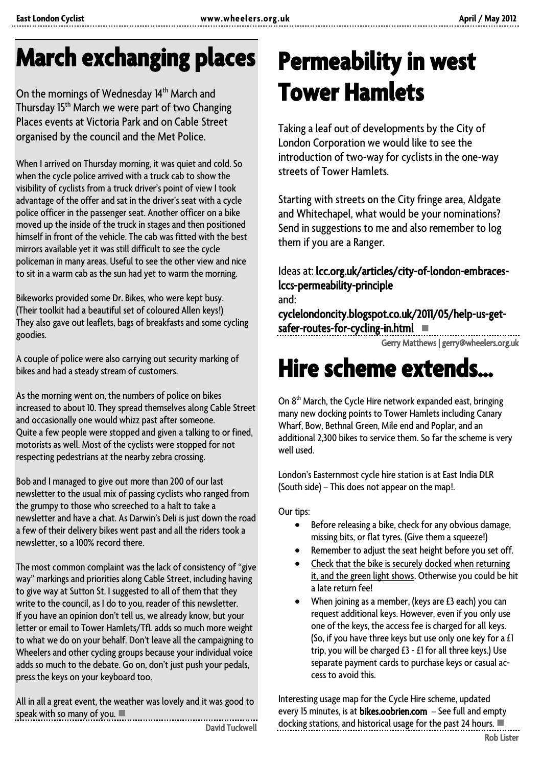# **March exchanging places**

On the mornings of Wednesday 14<sup>th</sup> March and Thursday 15<sup>th</sup> March we were part of two Changing Places events at Victoria Park and on Cable Street organised by the council and the Met Police.

When I arrived on Thursday morning, it was quiet and cold. So when the cycle police arrived with a truck cab to show the visibility of cyclists from a truck driver's point of view I took advantage of the offer and sat in the driver's seat with a cycle police officer in the passenger seat. Another officer on a bike moved up the inside of the truck in stages and then positioned himself in front of the vehicle. The cab was fitted with the best mirrors available yet it was still difficult to see the cycle policeman in many areas. Useful to see the other view and nice to sit in a warm cab as the sun had yet to warm the morning.

Bikeworks provided some Dr. Bikes, who were kept busy. (Their toolkit had a beautiful set of coloured Allen keys!) They also gave out leaflets, bags of breakfasts and some cycling goodies.

A couple of police were also carrying out security marking of bikes and had a steady stream of customers.

As the morning went on, the numbers of police on bikes increased to about 10. They spread themselves along Cable Street and occasionally one would whizz past after someone. Quite a few people were stopped and given a talking to or fined, motorists as well. Most of the cyclists were stopped for not respecting pedestrians at the nearby zebra crossing.

Bob and I managed to give out more than 200 of our last newsletter to the usual mix of passing cyclists who ranged from the grumpy to those who screeched to a halt to take a newsletter and have a chat. As Darwin's Deli is just down the road a few of their delivery bikes went past and all the riders took a newsletter, so a 100% record there.

The most common complaint was the lack of consistency of "give way" markings and priorities along Cable Street, including having to give way at Sutton St. I suggested to all of them that they write to the council, as I do to you, reader of this newsletter. If you have an opinion don't tell us, we already know, but your letter or email to Tower Hamlets/TfL adds so much more weight to what we do on your behalf. Don't leave all the campaigning to Wheelers and other cycling groups because your individual voice adds so much to the debate. Go on, don't just push your pedals, press the keys on your keyboard too.

All in all a great event, the weather was lovely and it was good to speak with so many of you. 

David Tuckwell

# **Permeability in west Tower Hamlets**

Taking a leaf out of developments by the City of London Corporation we would like to see the introduction of two-way for cyclists in the one-way streets of Tower Hamlets.

Starting with streets on the City fringe area, Aldgate and Whitechapel, what would be your nominations? Send in suggestions to me and also remember to log them if you are a Ranger.

Ideas at: [lcc.org.uk/articles/city-of-london-embraces](http://lcc.org.uk/articles/city-of-london-embraces-lccs-permeability-principle)[lccs-permeability-principle](http://lcc.org.uk/articles/city-of-london-embraces-lccs-permeability-principle)  and:

[cyclelondoncity.blogspot.co.uk/2011/05/help-us-get](http://cyclelondoncity.blogspot.co.uk/2011/05/help-us-get-safer-routes-for-cycling-in.html)safer-routes-for-cycling-in.html

Gerry Matthews | gerry@wheelers.org.uk

### **Hire scheme extends…**

On 8<sup>th</sup> March, the Cycle Hire network expanded east, bringing many new docking points to Tower Hamlets including Canary Wharf, Bow, Bethnal Green, Mile end and Poplar, and an additional 2,300 bikes to service them. So far the scheme is very well used.

London's Easternmost cycle hire station is at East India DLR (South side) – This does not appear on the map!.

Our tips:

- Before releasing a bike, check for any obvious damage, missing bits, or flat tyres. (Give them a squeeze!)
- Remember to adjust the seat height before you set off.
- Check that the bike is securely docked when returning it, and the green light shows. Otherwise you could be hit a late return fee!
- When joining as a member, (keys are £3 each) you can request additional keys. However, even if you only use one of the keys, the access fee is charged for all keys. (So, if you have three keys but use only one key for a £1 trip, you will be charged £3 - £1 for all three keys.) Use separate payment cards to purchase keys or casual access to avoid this.

Interesting usage map for the Cycle Hire scheme, updated every 15 minutes, is at [bikes.oobrien.com](http://bikes.oobrien.com/) - See full and empty docking stations, and historical usage for the past 24 hours.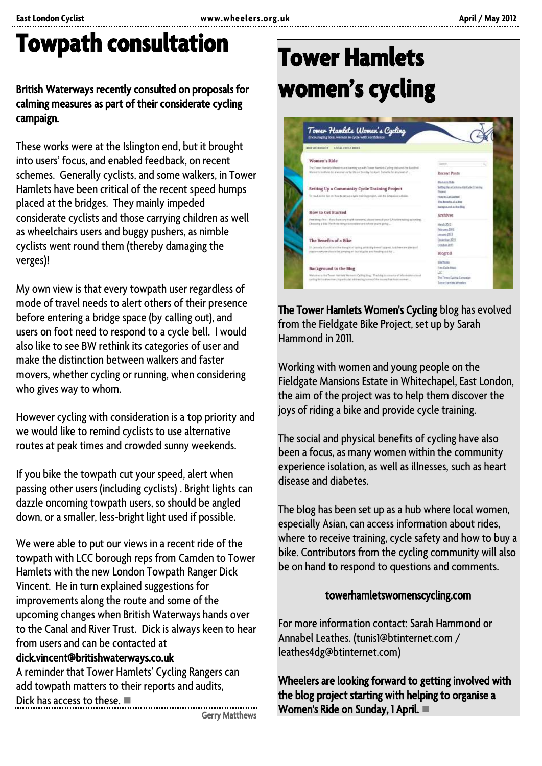## **Towpath consultation**

### British Waterways recently consulted on proposals for calming measures as part of their considerate cycling campaign.

These works were at the Islington end, but it brought into users' focus, and enabled feedback, on recent schemes. Generally cyclists, and some walkers, in Tower Hamlets have been critical of the recent speed humps placed at the bridges. They mainly impeded considerate cyclists and those carrying children as well as wheelchairs users and buggy pushers, as nimble cyclists went round them (thereby damaging the verges)!

My own view is that every towpath user regardless of mode of travel needs to alert others of their presence before entering a bridge space (by calling out), and users on foot need to respond to a cycle bell. I would also like to see BW rethink its categories of user and make the distinction between walkers and faster movers, whether cycling or running, when considering who gives way to whom.

However cycling with consideration is a top priority and we would like to remind cyclists to use alternative routes at peak times and crowded sunny weekends.

If you bike the towpath cut your speed, alert when passing other users (including cyclists) . Bright lights can dazzle oncoming towpath users, so should be angled down, or a smaller, less-bright light used if possible.

We were able to put our views in a recent ride of the towpath with LCC borough reps from Camden to Tower Hamlets with the new London Towpath Ranger Dick Vincent. He in turn explained suggestions for improvements along the route and some of the upcoming changes when British Waterways hands over to the Canal and River Trust. Dick is always keen to hear from users and can be contacted at

### dick.vincent@britishwaterways.co.uk

A reminder that Tower Hamlets' Cycling Rangers can add towpath matters to their reports and audits, Dick has access to these.

Gerry Matthews

# **Tower Hamlets women's cycling**



The Tower Hamlets Women's Cycling blog has evolved from the Fieldgate Bike Project, set up by Sarah Hammond in 2011.

Working with women and young people on the Fieldgate Mansions Estate in Whitechapel, East London, the aim of the project was to help them discover the joys of riding a bike and provide cycle training.

The social and physical benefits of cycling have also been a focus, as many women within the community experience isolation, as well as illnesses, such as heart disease and diabetes.

The blog has been set up as a hub where local women, especially Asian, can access information about rides, where to receive training, cycle safety and how to buy a bike. Contributors from the cycling community will also be on hand to respond to questions and comments.

#### [towerhamletswomenscycling.com](http://towerhamletswomenscycling.com/)

For more information contact: Sarah Hammond or Annabel Leathes. (tunis1@btinternet.com / leathes4dg@btinternet.com)

Wheelers are looking forward to getting involved with the blog project starting with helping to organise a Women's Ride on Sunday, 1 April.